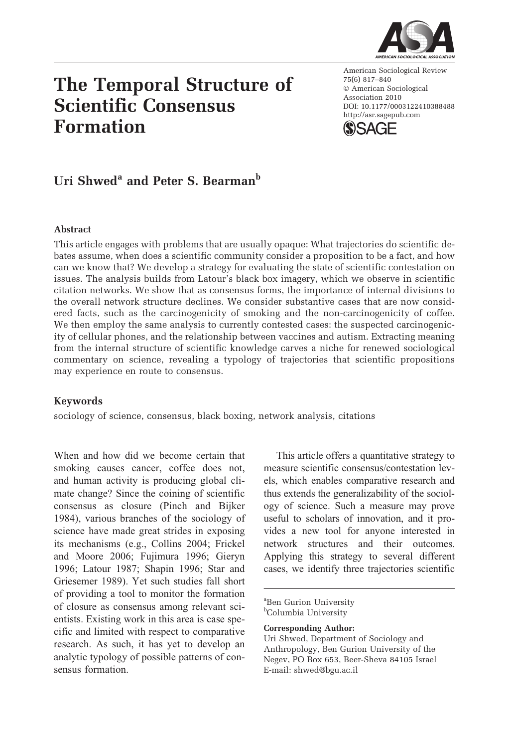

# The Temporal Structure of Scientific Consensus Formation

American Sociological Review 75(6) 817–840  $©$  American Sociological Association 2010 DOI: 10.1177/0003122410388488 http://asr.sagepub.com(S)SAGE

# Uri Shwed<sup>a</sup> and Peter S. Bearman<sup>b</sup>

#### Abstract

This article engages with problems that are usually opaque: What trajectories do scientific debates assume, when does a scientific community consider a proposition to be a fact, and how can we know that? We develop a strategy for evaluating the state of scientific contestation on issues. The analysis builds from Latour's black box imagery, which we observe in scientific citation networks. We show that as consensus forms, the importance of internal divisions to the overall network structure declines. We consider substantive cases that are now considered facts, such as the carcinogenicity of smoking and the non-carcinogenicity of coffee. We then employ the same analysis to currently contested cases: the suspected carcinogenicity of cellular phones, and the relationship between vaccines and autism. Extracting meaning from the internal structure of scientific knowledge carves a niche for renewed sociological commentary on science, revealing a typology of trajectories that scientific propositions may experience en route to consensus.

#### Keywords

sociology of science, consensus, black boxing, network analysis, citations

When and how did we become certain that smoking causes cancer, coffee does not, and human activity is producing global climate change? Since the coining of scientific consensus as closure (Pinch and Bijker 1984), various branches of the sociology of science have made great strides in exposing its mechanisms (e.g., Collins 2004; Frickel and Moore 2006; Fujimura 1996; Gieryn 1996; Latour 1987; Shapin 1996; Star and Griesemer 1989). Yet such studies fall short of providing a tool to monitor the formation of closure as consensus among relevant scientists. Existing work in this area is case specific and limited with respect to comparative research. As such, it has yet to develop an analytic typology of possible patterns of consensus formation.

This article offers a quantitative strategy to measure scientific consensus/contestation levels, which enables comparative research and thus extends the generalizability of the sociology of science. Such a measure may prove useful to scholars of innovation, and it provides a new tool for anyone interested in network structures and their outcomes. Applying this strategy to several different cases, we identify three trajectories scientific

<sup>a</sup>Ben Gurion University <sup>b</sup>Columbia University

#### Corresponding Author:

Uri Shwed, Department of Sociology and Anthropology, Ben Gurion University of the Negev, PO Box 653, Beer-Sheva 84105 Israel E-mail: shwed@bgu.ac.il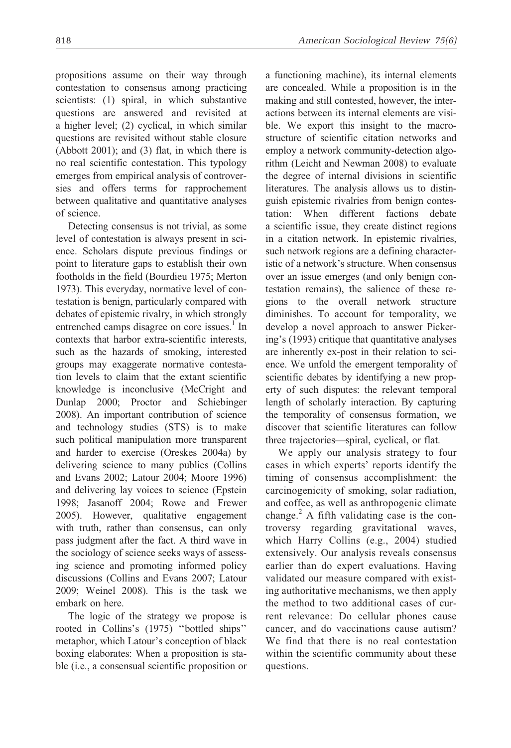propositions assume on their way through contestation to consensus among practicing scientists: (1) spiral, in which substantive questions are answered and revisited at a higher level; (2) cyclical, in which similar questions are revisited without stable closure (Abbott 2001); and (3) flat, in which there is no real scientific contestation. This typology emerges from empirical analysis of controversies and offers terms for rapprochement between qualitative and quantitative analyses of science.

Detecting consensus is not trivial, as some level of contestation is always present in science. Scholars dispute previous findings or point to literature gaps to establish their own footholds in the field (Bourdieu 1975; Merton 1973). This everyday, normative level of contestation is benign, particularly compared with debates of epistemic rivalry, in which strongly entrenched camps disagree on core issues.<sup>1</sup> In contexts that harbor extra-scientific interests, such as the hazards of smoking, interested groups may exaggerate normative contestation levels to claim that the extant scientific knowledge is inconclusive (McCright and Dunlap 2000; Proctor and Schiebinger 2008). An important contribution of science and technology studies (STS) is to make such political manipulation more transparent and harder to exercise (Oreskes 2004a) by delivering science to many publics (Collins and Evans 2002; Latour 2004; Moore 1996) and delivering lay voices to science (Epstein 1998; Jasanoff 2004; Rowe and Frewer 2005). However, qualitative engagement with truth, rather than consensus, can only pass judgment after the fact. A third wave in the sociology of science seeks ways of assessing science and promoting informed policy discussions (Collins and Evans 2007; Latour 2009; Weinel 2008). This is the task we embark on here.

The logic of the strategy we propose is rooted in Collins's (1975) ''bottled ships'' metaphor, which Latour's conception of black boxing elaborates: When a proposition is stable (i.e., a consensual scientific proposition or a functioning machine), its internal elements are concealed. While a proposition is in the making and still contested, however, the interactions between its internal elements are visible. We export this insight to the macrostructure of scientific citation networks and employ a network community-detection algorithm (Leicht and Newman 2008) to evaluate the degree of internal divisions in scientific literatures. The analysis allows us to distinguish epistemic rivalries from benign contestation: When different factions debate a scientific issue, they create distinct regions in a citation network. In epistemic rivalries, such network regions are a defining characteristic of a network's structure. When consensus over an issue emerges (and only benign contestation remains), the salience of these regions to the overall network structure diminishes. To account for temporality, we develop a novel approach to answer Pickering's (1993) critique that quantitative analyses are inherently ex-post in their relation to science. We unfold the emergent temporality of scientific debates by identifying a new property of such disputes: the relevant temporal length of scholarly interaction. By capturing the temporality of consensus formation, we discover that scientific literatures can follow three trajectories—spiral, cyclical, or flat.

We apply our analysis strategy to four cases in which experts' reports identify the timing of consensus accomplishment: the carcinogenicity of smoking, solar radiation, and coffee, as well as anthropogenic climate change.<sup>2</sup> A fifth validating case is the controversy regarding gravitational waves, which Harry Collins (e.g., 2004) studied extensively. Our analysis reveals consensus earlier than do expert evaluations. Having validated our measure compared with existing authoritative mechanisms, we then apply the method to two additional cases of current relevance: Do cellular phones cause cancer, and do vaccinations cause autism? We find that there is no real contestation within the scientific community about these questions.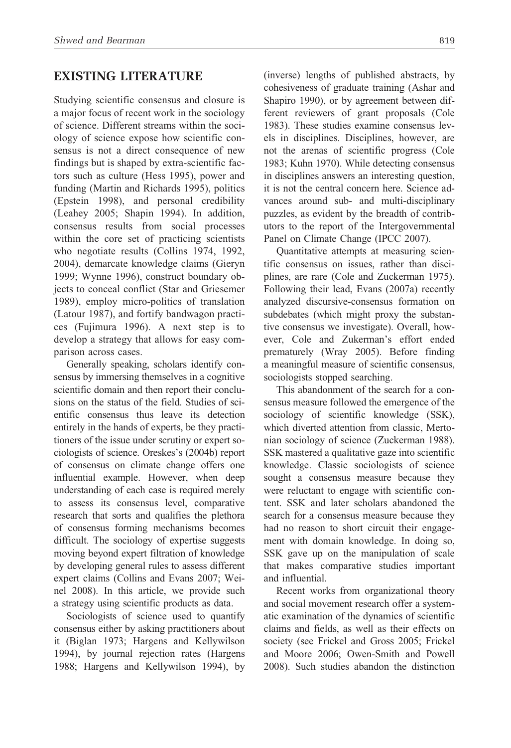## EXISTING LITERATURE

Studying scientific consensus and closure is a major focus of recent work in the sociology of science. Different streams within the sociology of science expose how scientific consensus is not a direct consequence of new findings but is shaped by extra-scientific factors such as culture (Hess 1995), power and funding (Martin and Richards 1995), politics (Epstein 1998), and personal credibility (Leahey 2005; Shapin 1994). In addition, consensus results from social processes within the core set of practicing scientists who negotiate results (Collins 1974, 1992, 2004), demarcate knowledge claims (Gieryn 1999; Wynne 1996), construct boundary objects to conceal conflict (Star and Griesemer 1989), employ micro-politics of translation (Latour 1987), and fortify bandwagon practices (Fujimura 1996). A next step is to develop a strategy that allows for easy comparison across cases.

Generally speaking, scholars identify consensus by immersing themselves in a cognitive scientific domain and then report their conclusions on the status of the field. Studies of scientific consensus thus leave its detection entirely in the hands of experts, be they practitioners of the issue under scrutiny or expert sociologists of science. Oreskes's (2004b) report of consensus on climate change offers one influential example. However, when deep understanding of each case is required merely to assess its consensus level, comparative research that sorts and qualifies the plethora of consensus forming mechanisms becomes difficult. The sociology of expertise suggests moving beyond expert filtration of knowledge by developing general rules to assess different expert claims (Collins and Evans 2007; Weinel 2008). In this article, we provide such a strategy using scientific products as data.

Sociologists of science used to quantify consensus either by asking practitioners about it (Biglan 1973; Hargens and Kellywilson 1994), by journal rejection rates (Hargens 1988; Hargens and Kellywilson 1994), by (inverse) lengths of published abstracts, by cohesiveness of graduate training (Ashar and Shapiro 1990), or by agreement between different reviewers of grant proposals (Cole 1983). These studies examine consensus levels in disciplines. Disciplines, however, are not the arenas of scientific progress (Cole 1983; Kuhn 1970). While detecting consensus in disciplines answers an interesting question, it is not the central concern here. Science advances around sub- and multi-disciplinary puzzles, as evident by the breadth of contributors to the report of the Intergovernmental Panel on Climate Change (IPCC 2007).

Quantitative attempts at measuring scientific consensus on issues, rather than disciplines, are rare (Cole and Zuckerman 1975). Following their lead, Evans (2007a) recently analyzed discursive-consensus formation on subdebates (which might proxy the substantive consensus we investigate). Overall, however, Cole and Zukerman's effort ended prematurely (Wray 2005). Before finding a meaningful measure of scientific consensus, sociologists stopped searching.

This abandonment of the search for a consensus measure followed the emergence of the sociology of scientific knowledge (SSK), which diverted attention from classic, Mertonian sociology of science (Zuckerman 1988). SSK mastered a qualitative gaze into scientific knowledge. Classic sociologists of science sought a consensus measure because they were reluctant to engage with scientific content. SSK and later scholars abandoned the search for a consensus measure because they had no reason to short circuit their engagement with domain knowledge. In doing so, SSK gave up on the manipulation of scale that makes comparative studies important and influential.

Recent works from organizational theory and social movement research offer a systematic examination of the dynamics of scientific claims and fields, as well as their effects on society (see Frickel and Gross 2005; Frickel and Moore 2006; Owen-Smith and Powell 2008). Such studies abandon the distinction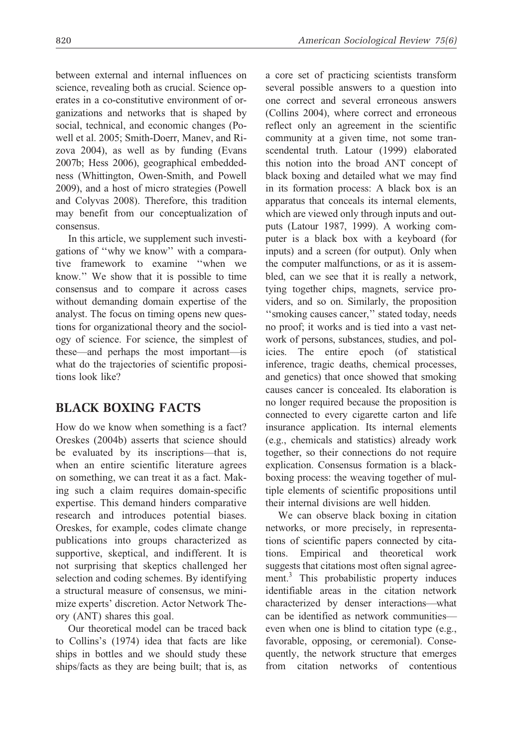between external and internal influences on science, revealing both as crucial. Science operates in a co-constitutive environment of organizations and networks that is shaped by social, technical, and economic changes (Powell et al. 2005; Smith-Doerr, Manev, and Rizova 2004), as well as by funding (Evans 2007b; Hess 2006), geographical embeddedness (Whittington, Owen-Smith, and Powell 2009), and a host of micro strategies (Powell and Colyvas 2008). Therefore, this tradition may benefit from our conceptualization of consensus.

In this article, we supplement such investigations of ''why we know'' with a comparative framework to examine ''when we know.'' We show that it is possible to time consensus and to compare it across cases without demanding domain expertise of the analyst. The focus on timing opens new questions for organizational theory and the sociology of science. For science, the simplest of these—and perhaps the most important—is what do the trajectories of scientific propositions look like?

## BLACK BOXING FACTS

How do we know when something is a fact? Oreskes (2004b) asserts that science should be evaluated by its inscriptions—that is, when an entire scientific literature agrees on something, we can treat it as a fact. Making such a claim requires domain-specific expertise. This demand hinders comparative research and introduces potential biases. Oreskes, for example, codes climate change publications into groups characterized as supportive, skeptical, and indifferent. It is not surprising that skeptics challenged her selection and coding schemes. By identifying a structural measure of consensus, we minimize experts' discretion. Actor Network Theory (ANT) shares this goal.

Our theoretical model can be traced back to Collins's (1974) idea that facts are like ships in bottles and we should study these ships/facts as they are being built; that is, as a core set of practicing scientists transform several possible answers to a question into one correct and several erroneous answers (Collins 2004), where correct and erroneous reflect only an agreement in the scientific community at a given time, not some transcendental truth. Latour (1999) elaborated this notion into the broad ANT concept of black boxing and detailed what we may find in its formation process: A black box is an apparatus that conceals its internal elements, which are viewed only through inputs and outputs (Latour 1987, 1999). A working computer is a black box with a keyboard (for inputs) and a screen (for output). Only when the computer malfunctions, or as it is assembled, can we see that it is really a network, tying together chips, magnets, service providers, and so on. Similarly, the proposition ''smoking causes cancer,'' stated today, needs no proof; it works and is tied into a vast network of persons, substances, studies, and policies. The entire epoch (of statistical inference, tragic deaths, chemical processes, and genetics) that once showed that smoking causes cancer is concealed. Its elaboration is no longer required because the proposition is connected to every cigarette carton and life insurance application. Its internal elements (e.g., chemicals and statistics) already work together, so their connections do not require explication. Consensus formation is a blackboxing process: the weaving together of multiple elements of scientific propositions until their internal divisions are well hidden.

We can observe black boxing in citation networks, or more precisely, in representations of scientific papers connected by citations. Empirical and theoretical work suggests that citations most often signal agreement.<sup>3</sup> This probabilistic property induces identifiable areas in the citation network characterized by denser interactions—what can be identified as network communities even when one is blind to citation type (e.g., favorable, opposing, or ceremonial). Consequently, the network structure that emerges from citation networks of contentious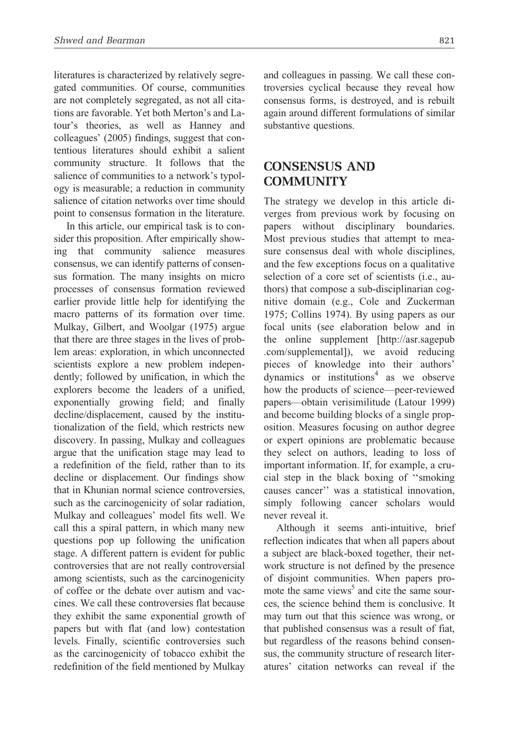literatures is characterized by relatively segregated communities. Of course, communities are not completely segregated, as not all citations are favorable. Yet both Merton's and Latour's theories, as well as Hanney and colleagues' (2005) findings, suggest that contentious literatures should exhibit a salient community structure. It follows that the salience of communities to a network's typology is measurable; a reduction in community salience of citation networks over time should point to consensus formation in the literature.

In this article, our empirical task is to consider this proposition. After empirically showing that community salience measures consensus, we can identify patterns of consensus formation. The many insights on micro processes of consensus formation reviewed earlier provide little help for identifying the macro patterns of its formation over time. Mulkay, Gilbert, and Woolgar (1975) argue that there are three stages in the lives of problem areas: exploration, in which unconnected scientists explore a new problem independently; followed by unification, in which the explorers become the leaders of a unified, exponentially growing field; and finally decline/displacement, caused by the institutionalization of the field, which restricts new discovery. In passing, Mulkay and colleagues argue that the unification stage may lead to a redefinition of the field, rather than to its decline or displacement. Our findings show that in Khunian normal science controversies, such as the carcinogenicity of solar radiation, Mulkay and colleagues' model fits well. We call this a spiral pattern, in which many new questions pop up following the unification stage. A different pattern is evident for public controversies that are not really controversial among scientists, such as the carcinogenicity of coffee or the debate over autism and vaccines. We call these controversies flat because they exhibit the same exponential growth of papers but with flat (and low) contestation levels. Finally, scientific controversies such as the carcinogenicity of tobacco exhibit the redefinition of the field mentioned by Mulkay and colleagues in passing. We call these controversies cyclical because they reveal how consensus forms, is destroyed, and is rebuilt again around different formulations of similar substantive questions.

## CONSENSUS AND **COMMUNITY**

The strategy we develop in this article diverges from previous work by focusing on papers without disciplinary boundaries. Most previous studies that attempt to measure consensus deal with whole disciplines, and the few exceptions focus on a qualitative selection of a core set of scientists (i.e., authors) that compose a sub-disciplinarian cognitive domain (e.g., Cole and Zuckerman 1975; Collins 1974). By using papers as our focal units (see elaboration below and in the online supplement [http://asr.sagepub .com/supplemental]), we avoid reducing pieces of knowledge into their authors' dynamics or institutions<sup>4</sup> as we observe how the products of science—peer-reviewed papers—obtain verisimilitude (Latour 1999) and become building blocks of a single proposition. Measures focusing on author degree or expert opinions are problematic because they select on authors, leading to loss of important information. If, for example, a crucial step in the black boxing of ''smoking causes cancer'' was a statistical innovation, simply following cancer scholars would never reveal it.

Although it seems anti-intuitive, brief reflection indicates that when all papers about a subject are black-boxed together, their network structure is not defined by the presence of disjoint communities. When papers promote the same views<sup>5</sup> and cite the same sources, the science behind them is conclusive. It may turn out that this science was wrong, or that published consensus was a result of fiat, but regardless of the reasons behind consensus, the community structure of research literatures' citation networks can reveal if the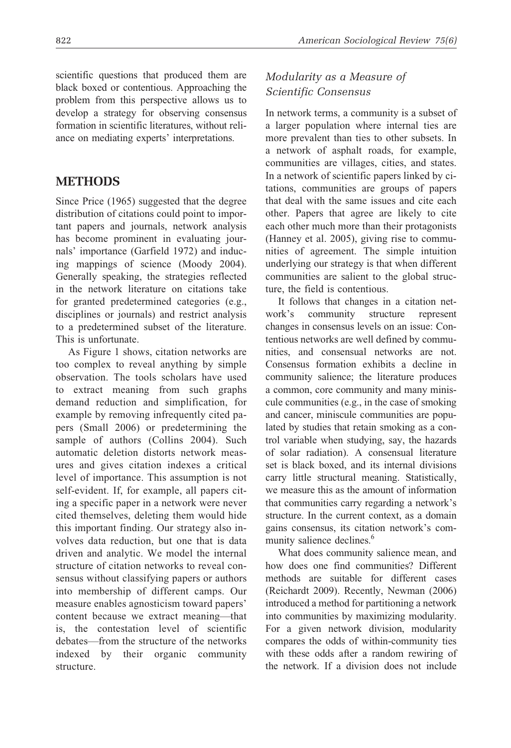scientific questions that produced them are black boxed or contentious. Approaching the problem from this perspective allows us to develop a strategy for observing consensus formation in scientific literatures, without reliance on mediating experts' interpretations.

### METHODS

Since Price (1965) suggested that the degree distribution of citations could point to important papers and journals, network analysis has become prominent in evaluating journals' importance (Garfield 1972) and inducing mappings of science (Moody 2004). Generally speaking, the strategies reflected in the network literature on citations take for granted predetermined categories (e.g., disciplines or journals) and restrict analysis to a predetermined subset of the literature. This is unfortunate.

As Figure 1 shows, citation networks are too complex to reveal anything by simple observation. The tools scholars have used to extract meaning from such graphs demand reduction and simplification, for example by removing infrequently cited papers (Small 2006) or predetermining the sample of authors (Collins 2004). Such automatic deletion distorts network measures and gives citation indexes a critical level of importance. This assumption is not self-evident. If, for example, all papers citing a specific paper in a network were never cited themselves, deleting them would hide this important finding. Our strategy also involves data reduction, but one that is data driven and analytic. We model the internal structure of citation networks to reveal consensus without classifying papers or authors into membership of different camps. Our measure enables agnosticism toward papers' content because we extract meaning—that is, the contestation level of scientific debates—from the structure of the networks indexed by their organic community structure.

## Modularity as a Measure of Scientific Consensus

In network terms, a community is a subset of a larger population where internal ties are more prevalent than ties to other subsets. In a network of asphalt roads, for example, communities are villages, cities, and states. In a network of scientific papers linked by citations, communities are groups of papers that deal with the same issues and cite each other. Papers that agree are likely to cite each other much more than their protagonists (Hanney et al. 2005), giving rise to communities of agreement. The simple intuition underlying our strategy is that when different communities are salient to the global structure, the field is contentious.

It follows that changes in a citation network's community structure represent changes in consensus levels on an issue: Contentious networks are well defined by communities, and consensual networks are not. Consensus formation exhibits a decline in community salience; the literature produces a common, core community and many miniscule communities (e.g., in the case of smoking and cancer, miniscule communities are populated by studies that retain smoking as a control variable when studying, say, the hazards of solar radiation). A consensual literature set is black boxed, and its internal divisions carry little structural meaning. Statistically, we measure this as the amount of information that communities carry regarding a network's structure. In the current context, as a domain gains consensus, its citation network's community salience declines.<sup>6</sup>

What does community salience mean, and how does one find communities? Different methods are suitable for different cases (Reichardt 2009). Recently, Newman (2006) introduced a method for partitioning a network into communities by maximizing modularity. For a given network division, modularity compares the odds of within-community ties with these odds after a random rewiring of the network. If a division does not include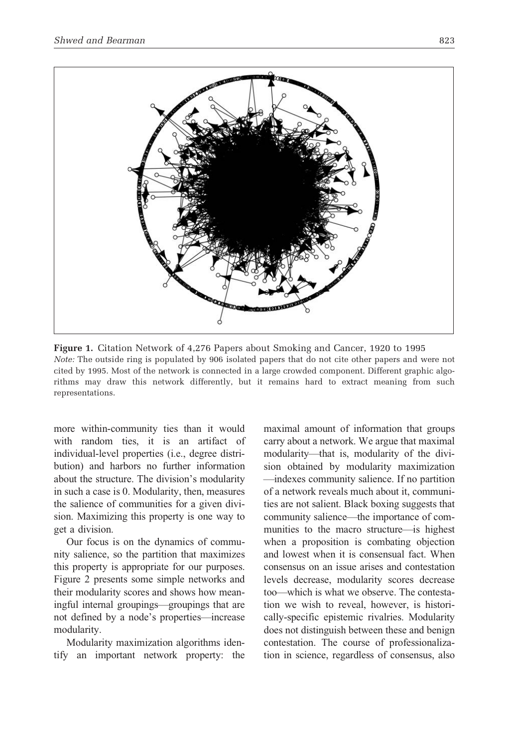

Figure 1. Citation Network of 4,276 Papers about Smoking and Cancer, 1920 to 1995 Note: The outside ring is populated by 906 isolated papers that do not cite other papers and were not cited by 1995. Most of the network is connected in a large crowded component. Different graphic algorithms may draw this network differently, but it remains hard to extract meaning from such representations.

more within-community ties than it would with random ties, it is an artifact of individual-level properties (i.e., degree distribution) and harbors no further information about the structure. The division's modularity in such a case is 0. Modularity, then, measures the salience of communities for a given division. Maximizing this property is one way to get a division.

Our focus is on the dynamics of community salience, so the partition that maximizes this property is appropriate for our purposes. Figure 2 presents some simple networks and their modularity scores and shows how meaningful internal groupings—groupings that are not defined by a node's properties—increase modularity.

Modularity maximization algorithms identify an important network property: the

maximal amount of information that groups carry about a network. We argue that maximal modularity—that is, modularity of the division obtained by modularity maximization —indexes community salience. If no partition of a network reveals much about it, communities are not salient. Black boxing suggests that community salience—the importance of communities to the macro structure—is highest when a proposition is combating objection and lowest when it is consensual fact. When consensus on an issue arises and contestation levels decrease, modularity scores decrease too—which is what we observe. The contestation we wish to reveal, however, is historically-specific epistemic rivalries. Modularity does not distinguish between these and benign contestation. The course of professionalization in science, regardless of consensus, also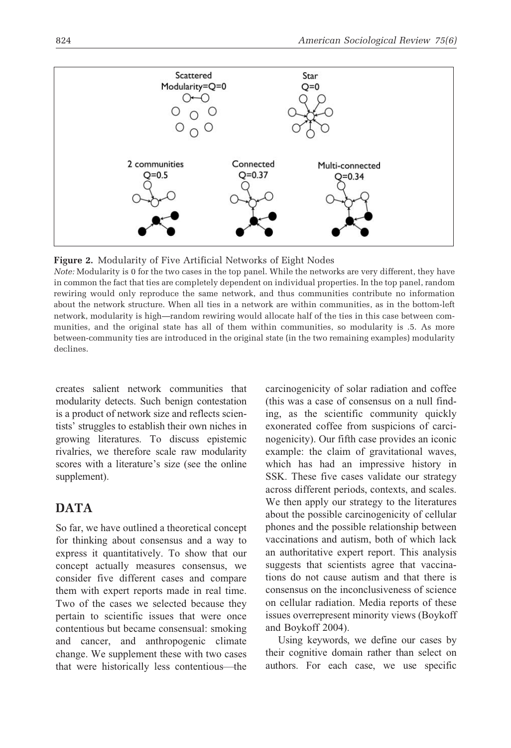

Figure 2. Modularity of Five Artificial Networks of Eight Nodes

Note: Modularity is 0 for the two cases in the top panel. While the networks are very different, they have in common the fact that ties are completely dependent on individual properties. In the top panel, random rewiring would only reproduce the same network, and thus communities contribute no information about the network structure. When all ties in a network are within communities, as in the bottom-left network, modularity is high—random rewiring would allocate half of the ties in this case between communities, and the original state has all of them within communities, so modularity is .5. As more between-community ties are introduced in the original state (in the two remaining examples) modularity declines.

creates salient network communities that modularity detects. Such benign contestation is a product of network size and reflects scientists' struggles to establish their own niches in growing literatures. To discuss epistemic rivalries, we therefore scale raw modularity scores with a literature's size (see the online supplement).

## DATA

So far, we have outlined a theoretical concept for thinking about consensus and a way to express it quantitatively. To show that our concept actually measures consensus, we consider five different cases and compare them with expert reports made in real time. Two of the cases we selected because they pertain to scientific issues that were once contentious but became consensual: smoking and cancer, and anthropogenic climate change. We supplement these with two cases that were historically less contentious—the carcinogenicity of solar radiation and coffee (this was a case of consensus on a null finding, as the scientific community quickly exonerated coffee from suspicions of carcinogenicity). Our fifth case provides an iconic example: the claim of gravitational waves, which has had an impressive history in SSK. These five cases validate our strategy across different periods, contexts, and scales. We then apply our strategy to the literatures about the possible carcinogenicity of cellular phones and the possible relationship between vaccinations and autism, both of which lack an authoritative expert report. This analysis suggests that scientists agree that vaccinations do not cause autism and that there is consensus on the inconclusiveness of science on cellular radiation. Media reports of these issues overrepresent minority views (Boykoff and Boykoff 2004).

Using keywords, we define our cases by their cognitive domain rather than select on authors. For each case, we use specific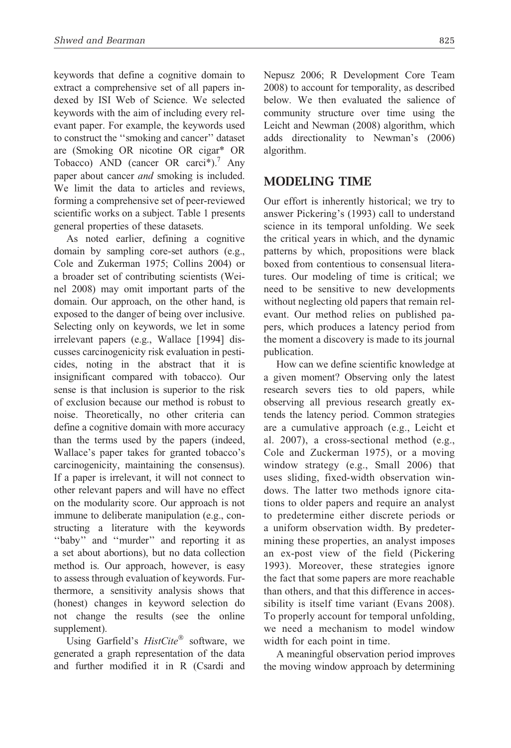keywords that define a cognitive domain to extract a comprehensive set of all papers indexed by ISI Web of Science. We selected keywords with the aim of including every relevant paper. For example, the keywords used to construct the ''smoking and cancer'' dataset are (Smoking OR nicotine OR cigar\* OR Tobacco) AND (cancer OR carci\*).<sup>7</sup> Any paper about cancer *and* smoking is included. We limit the data to articles and reviews, forming a comprehensive set of peer-reviewed scientific works on a subject. Table 1 presents general properties of these datasets.

As noted earlier, defining a cognitive domain by sampling core-set authors (e.g., Cole and Zukerman 1975; Collins 2004) or a broader set of contributing scientists (Weinel 2008) may omit important parts of the domain. Our approach, on the other hand, is exposed to the danger of being over inclusive. Selecting only on keywords, we let in some irrelevant papers (e.g., Wallace [1994] discusses carcinogenicity risk evaluation in pesticides, noting in the abstract that it is insignificant compared with tobacco). Our sense is that inclusion is superior to the risk of exclusion because our method is robust to noise. Theoretically, no other criteria can define a cognitive domain with more accuracy than the terms used by the papers (indeed, Wallace's paper takes for granted tobacco's carcinogenicity, maintaining the consensus). If a paper is irrelevant, it will not connect to other relevant papers and will have no effect on the modularity score. Our approach is not immune to deliberate manipulation (e.g., constructing a literature with the keywords ''baby'' and ''murder'' and reporting it as a set about abortions), but no data collection method is. Our approach, however, is easy to assess through evaluation of keywords. Furthermore, a sensitivity analysis shows that (honest) changes in keyword selection do not change the results (see the online supplement).

Using Garfield's  $HistCite^{\otimes}$  software, we generated a graph representation of the data and further modified it in R (Csardi and Nepusz 2006; R Development Core Team 2008) to account for temporality, as described below. We then evaluated the salience of community structure over time using the Leicht and Newman (2008) algorithm, which adds directionality to Newman's (2006) algorithm.

## MODELING TIME

Our effort is inherently historical; we try to answer Pickering's (1993) call to understand science in its temporal unfolding. We seek the critical years in which, and the dynamic patterns by which, propositions were black boxed from contentious to consensual literatures. Our modeling of time is critical; we need to be sensitive to new developments without neglecting old papers that remain relevant. Our method relies on published papers, which produces a latency period from the moment a discovery is made to its journal publication.

How can we define scientific knowledge at a given moment? Observing only the latest research severs ties to old papers, while observing all previous research greatly extends the latency period. Common strategies are a cumulative approach (e.g., Leicht et al. 2007), a cross-sectional method (e.g., Cole and Zuckerman 1975), or a moving window strategy (e.g., Small 2006) that uses sliding, fixed-width observation windows. The latter two methods ignore citations to older papers and require an analyst to predetermine either discrete periods or a uniform observation width. By predetermining these properties, an analyst imposes an ex-post view of the field (Pickering 1993). Moreover, these strategies ignore the fact that some papers are more reachable than others, and that this difference in accessibility is itself time variant (Evans 2008). To properly account for temporal unfolding, we need a mechanism to model window width for each point in time.

A meaningful observation period improves the moving window approach by determining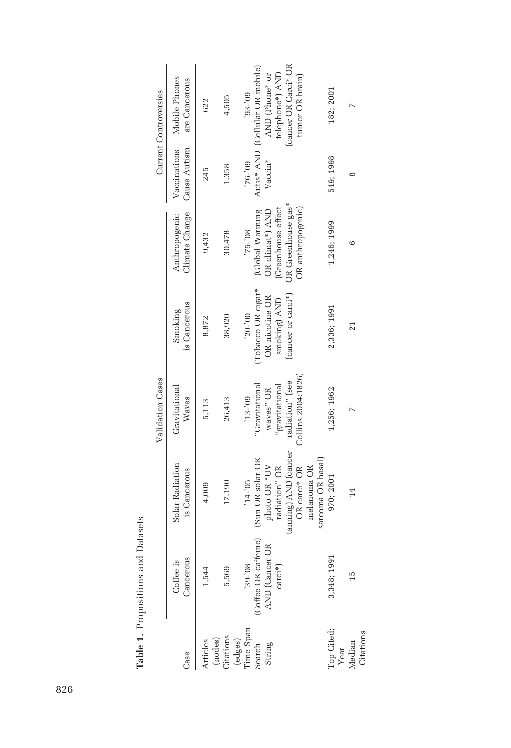|                      | Table 1. Propositions and Datasets               |                                                  |                                               |                                                     |                                                          |                              |                                                           |
|----------------------|--------------------------------------------------|--------------------------------------------------|-----------------------------------------------|-----------------------------------------------------|----------------------------------------------------------|------------------------------|-----------------------------------------------------------|
|                      |                                                  |                                                  | Validation Cases                              |                                                     |                                                          |                              | <b>Current Controversies</b>                              |
| Case                 | Cancerous<br>Coffee is                           | Solar Radiation<br>is Cancerous                  | Gravitational<br>Waves                        | is Cancerous<br>Smoking                             | Climate Change<br>Anthropogenic                          | Cause Autism<br>Vaccinations | Mobile Phones<br>are Cancerous                            |
| (nodes)<br>Articles  | 1,544                                            | 4,009                                            | 5,113                                         | 8,872                                               | 9,432                                                    | 245                          | 622                                                       |
| Citations<br>(edges) | 5,569                                            | 17,190                                           | 26,413                                        | 38,920                                              | 30,478                                                   | 1,358                        | 4,505                                                     |
| Time Span            | '39-'08                                          | $14 - 05$                                        | $13 - 09$                                     | $20 - 00$                                           | $175 - 08$                                               | '76-'09                      | '93-'09                                                   |
| String<br>Search     | Coffee OR caffeine)<br>AND (Cancer OR<br>carci*) | Sun OR solar OR<br>photo OR "UV<br>radiation" OR | "Gravitational<br>"gravitational<br>waves" OR | Tobacco OR cigar*<br>OR nicotine OR<br>smoking) AND | (Greenhouse effect<br>OR climat*) AND<br>(Global Warming | Autis* AND<br>Vaccin*        | (Cellular OR mobile)<br>telephone*) AND<br>AND (Phone* or |
|                      |                                                  | tanning) AND (cancer<br>OR carci* OR             | Collins 2004:1826)<br>radiation" (see         | (cancer or carci*)                                  | OR Greenhouse gas*<br>OR anthropogenic)                  |                              | (cancer OR Carci* OR<br>tumor OR brain)                   |
|                      |                                                  | sarcoma OR basal)<br>melanoma OR                 |                                               |                                                     |                                                          |                              |                                                           |
| Top Cited;<br>Year   | 3,348; 1991                                      | 970; 2001                                        | 1,256; 1962                                   | 2,336; 1991                                         | 1,246; 1999                                              | 549; 1998                    | 182; 2001                                                 |
| Citations<br>Median  | 15                                               | 14                                               |                                               | $\overline{21}$                                     | 6                                                        | ∞                            | $\overline{ }$                                            |
|                      |                                                  |                                                  |                                               |                                                     |                                                          |                              |                                                           |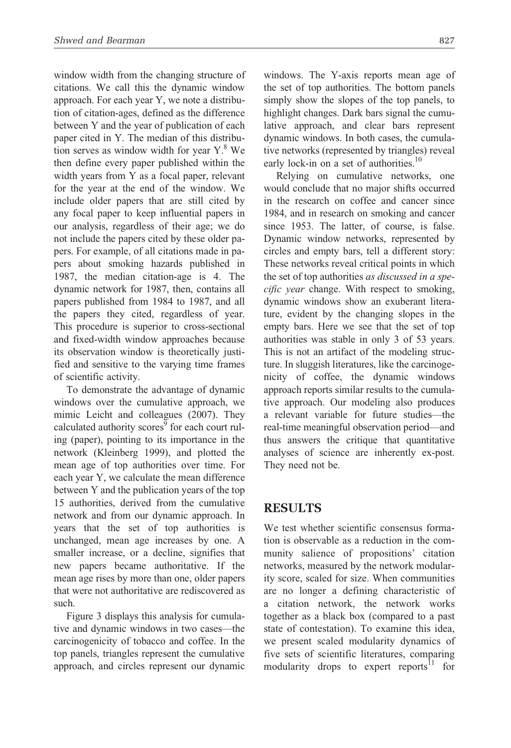window width from the changing structure of citations. We call this the dynamic window approach. For each year Y, we note a distribution of citation-ages, defined as the difference between Y and the year of publication of each paper cited in Y. The median of this distribution serves as window width for year  $Y^8$ . then define every paper published within the width years from Y as a focal paper, relevant for the year at the end of the window. We include older papers that are still cited by any focal paper to keep influential papers in our analysis, regardless of their age; we do not include the papers cited by these older papers. For example, of all citations made in papers about smoking hazards published in 1987, the median citation-age is 4. The dynamic network for 1987, then, contains all papers published from 1984 to 1987, and all the papers they cited, regardless of year. This procedure is superior to cross-sectional and fixed-width window approaches because its observation window is theoretically justified and sensitive to the varying time frames of scientific activity.

To demonstrate the advantage of dynamic windows over the cumulative approach, we mimic Leicht and colleagues (2007). They calculated authority scores<sup>9</sup> for each court ruling (paper), pointing to its importance in the network (Kleinberg 1999), and plotted the mean age of top authorities over time. For each year Y, we calculate the mean difference between Y and the publication years of the top 15 authorities, derived from the cumulative network and from our dynamic approach. In years that the set of top authorities is unchanged, mean age increases by one. A smaller increase, or a decline, signifies that new papers became authoritative. If the mean age rises by more than one, older papers that were not authoritative are rediscovered as such.

Figure 3 displays this analysis for cumulative and dynamic windows in two cases—the carcinogenicity of tobacco and coffee. In the top panels, triangles represent the cumulative approach, and circles represent our dynamic windows. The Y-axis reports mean age of the set of top authorities. The bottom panels simply show the slopes of the top panels, to highlight changes. Dark bars signal the cumulative approach, and clear bars represent dynamic windows. In both cases, the cumulative networks (represented by triangles) reveal early lock-in on a set of authorities. $10$ 

Relying on cumulative networks, one would conclude that no major shifts occurred in the research on coffee and cancer since 1984, and in research on smoking and cancer since 1953. The latter, of course, is false. Dynamic window networks, represented by circles and empty bars, tell a different story: These networks reveal critical points in which the set of top authorities *as discussed in a spe*cific year change. With respect to smoking, dynamic windows show an exuberant literature, evident by the changing slopes in the empty bars. Here we see that the set of top authorities was stable in only 3 of 53 years. This is not an artifact of the modeling structure. In sluggish literatures, like the carcinogenicity of coffee, the dynamic windows approach reports similar results to the cumulative approach. Our modeling also produces a relevant variable for future studies—the real-time meaningful observation period—and thus answers the critique that quantitative analyses of science are inherently ex-post. They need not be.

## RESULTS

We test whether scientific consensus formation is observable as a reduction in the community salience of propositions' citation networks, measured by the network modularity score, scaled for size. When communities are no longer a defining characteristic of a citation network, the network works together as a black box (compared to a past state of contestation). To examine this idea, we present scaled modularity dynamics of five sets of scientific literatures, comparing modularity drops to expert reports<sup>11</sup> for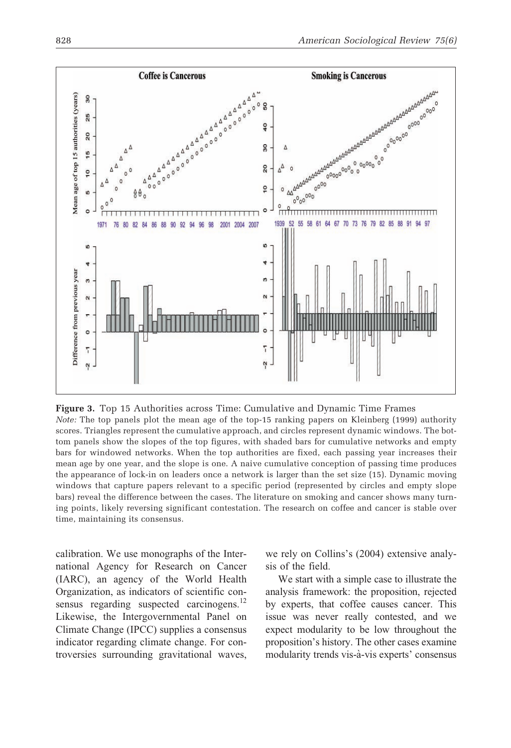

Figure 3. Top 15 Authorities across Time: Cumulative and Dynamic Time Frames Note: The top panels plot the mean age of the top-15 ranking papers on Kleinberg (1999) authority scores. Triangles represent the cumulative approach, and circles represent dynamic windows. The bottom panels show the slopes of the top figures, with shaded bars for cumulative networks and empty bars for windowed networks. When the top authorities are fixed, each passing year increases their mean age by one year, and the slope is one. A naive cumulative conception of passing time produces the appearance of lock-in on leaders once a network is larger than the set size (15). Dynamic moving windows that capture papers relevant to a specific period (represented by circles and empty slope bars) reveal the difference between the cases. The literature on smoking and cancer shows many turning points, likely reversing significant contestation. The research on coffee and cancer is stable over time, maintaining its consensus.

calibration. We use monographs of the International Agency for Research on Cancer (IARC), an agency of the World Health Organization, as indicators of scientific consensus regarding suspected carcinogens.<sup>12</sup> Likewise, the Intergovernmental Panel on Climate Change (IPCC) supplies a consensus indicator regarding climate change. For controversies surrounding gravitational waves,

we rely on Collins's (2004) extensive analysis of the field.

We start with a simple case to illustrate the analysis framework: the proposition, rejected by experts, that coffee causes cancer. This issue was never really contested, and we expect modularity to be low throughout the proposition's history. The other cases examine modularity trends vis-à-vis experts' consensus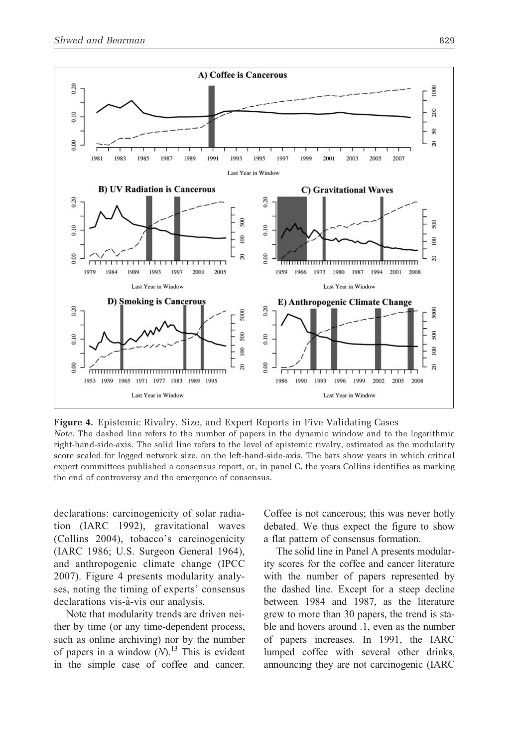

Figure 4. Epistemic Rivalry, Size, and Expert Reports in Five Validating Cases Note: The dashed line refers to the number of papers in the dynamic window and to the logarithmic right-hand-side-axis. The solid line refers to the level of epistemic rivalry, estimated as the modularity score scaled for logged network size, on the left-hand-side-axis. The bars show years in which critical expert committees published a consensus report, or, in panel C, the years Collins identifies as marking the end of controversy and the emergence of consensus.

declarations: carcinogenicity of solar radiation (IARC 1992), gravitational waves (Collins 2004), tobacco's carcinogenicity (IARC 1986; U.S. Surgeon General 1964), and anthropogenic climate change (IPCC 2007). Figure 4 presents modularity analyses, noting the timing of experts' consensus declarations vis-à-vis our analysis.

Note that modularity trends are driven neither by time (or any time-dependent process, such as online archiving) nor by the number of papers in a window  $(N)$ .<sup>13</sup> This is evident in the simple case of coffee and cancer.

Coffee is not cancerous; this was never hotly debated. We thus expect the figure to show a flat pattern of consensus formation.

The solid line in Panel A presents modularity scores for the coffee and cancer literature with the number of papers represented by the dashed line. Except for a steep decline between 1984 and 1987, as the literature grew to more than 30 papers, the trend is stable and hovers around .1, even as the number of papers increases. In 1991, the IARC lumped coffee with several other drinks, announcing they are not carcinogenic (IARC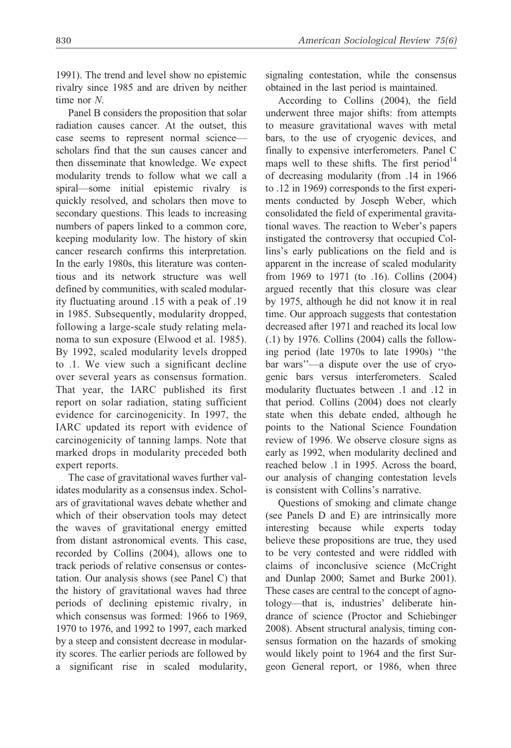1991). The trend and level show no epistemic rivalry since 1985 and are driven by neither time nor N.

Panel B considers the proposition that solar radiation causes cancer. At the outset, this case seems to represent normal science scholars find that the sun causes cancer and then disseminate that knowledge. We expect modularity trends to follow what we call a spiral—some initial epistemic rivalry is quickly resolved, and scholars then move to secondary questions. This leads to increasing numbers of papers linked to a common core, keeping modularity low. The history of skin cancer research confirms this interpretation. In the early 1980s, this literature was contentious and its network structure was well defined by communities, with scaled modularity fluctuating around .15 with a peak of .19 in 1985. Subsequently, modularity dropped, following a large-scale study relating melanoma to sun exposure (Elwood et al. 1985). By 1992, scaled modularity levels dropped to .1. We view such a significant decline over several years as consensus formation. That year, the IARC published its first report on solar radiation, stating sufficient evidence for carcinogenicity. In 1997, the IARC updated its report with evidence of carcinogenicity of tanning lamps. Note that marked drops in modularity preceded both expert reports.

The case of gravitational waves further validates modularity as a consensus index. Scholars of gravitational waves debate whether and which of their observation tools may detect the waves of gravitational energy emitted from distant astronomical events. This case, recorded by Collins (2004), allows one to track periods of relative consensus or contestation. Our analysis shows (see Panel C) that the history of gravitational waves had three periods of declining epistemic rivalry, in which consensus was formed: 1966 to 1969, 1970 to 1976, and 1992 to 1997, each marked by a steep and consistent decrease in modularity scores. The earlier periods are followed by a significant rise in scaled modularity,

signaling contestation, while the consensus obtained in the last period is maintained.

According to Collins (2004), the field underwent three major shifts: from attempts to measure gravitational waves with metal bars, to the use of cryogenic devices, and finally to expensive interferometers. Panel C maps well to these shifts. The first period $14$ of decreasing modularity (from .14 in 1966 to .12 in 1969) corresponds to the first experiments conducted by Joseph Weber, which consolidated the field of experimental gravitational waves. The reaction to Weber's papers instigated the controversy that occupied Collins's early publications on the field and is apparent in the increase of scaled modularity from 1969 to 1971 (to .16). Collins (2004) argued recently that this closure was clear by 1975, although he did not know it in real time. Our approach suggests that contestation decreased after 1971 and reached its local low (.1) by 1976. Collins (2004) calls the following period (late 1970s to late 1990s) ''the bar wars''—a dispute over the use of cryogenic bars versus interferometers. Scaled modularity fluctuates between .1 and .12 in that period. Collins (2004) does not clearly state when this debate ended, although he points to the National Science Foundation review of 1996. We observe closure signs as early as 1992, when modularity declined and reached below .1 in 1995. Across the board, our analysis of changing contestation levels is consistent with Collins's narrative.

Questions of smoking and climate change (see Panels D and E) are intrinsically more interesting because while experts today believe these propositions are true, they used to be very contested and were riddled with claims of inconclusive science (McCright and Dunlap 2000; Samet and Burke 2001). These cases are central to the concept of agnotology—that is, industries' deliberate hindrance of science (Proctor and Schiebinger 2008). Absent structural analysis, timing consensus formation on the hazards of smoking would likely point to 1964 and the first Surgeon General report, or 1986, when three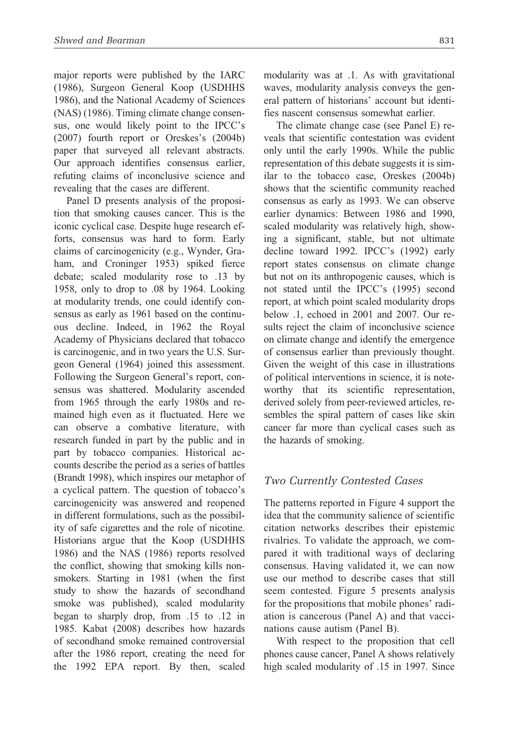major reports were published by the IARC (1986), Surgeon General Koop (USDHHS 1986), and the National Academy of Sciences (NAS) (1986). Timing climate change consensus, one would likely point to the IPCC's (2007) fourth report or Oreskes's (2004b) paper that surveyed all relevant abstracts. Our approach identifies consensus earlier, refuting claims of inconclusive science and revealing that the cases are different.

Panel D presents analysis of the proposition that smoking causes cancer. This is the iconic cyclical case. Despite huge research efforts, consensus was hard to form. Early claims of carcinogenicity (e.g., Wynder, Graham, and Croninger 1953) spiked fierce debate; scaled modularity rose to .13 by 1958, only to drop to .08 by 1964. Looking at modularity trends, one could identify consensus as early as 1961 based on the continuous decline. Indeed, in 1962 the Royal Academy of Physicians declared that tobacco is carcinogenic, and in two years the U.S. Surgeon General (1964) joined this assessment. Following the Surgeon General's report, consensus was shattered. Modularity ascended from 1965 through the early 1980s and remained high even as it fluctuated. Here we can observe a combative literature, with research funded in part by the public and in part by tobacco companies. Historical accounts describe the period as a series of battles (Brandt 1998), which inspires our metaphor of a cyclical pattern. The question of tobacco's carcinogenicity was answered and reopened in different formulations, such as the possibility of safe cigarettes and the role of nicotine. Historians argue that the Koop (USDHHS 1986) and the NAS (1986) reports resolved the conflict, showing that smoking kills nonsmokers. Starting in 1981 (when the first study to show the hazards of secondhand smoke was published), scaled modularity began to sharply drop, from .15 to .12 in 1985. Kabat (2008) describes how hazards of secondhand smoke remained controversial after the 1986 report, creating the need for the 1992 EPA report. By then, scaled modularity was at .1. As with gravitational waves, modularity analysis conveys the general pattern of historians' account but identifies nascent consensus somewhat earlier.

The climate change case (see Panel E) reveals that scientific contestation was evident only until the early 1990s. While the public representation of this debate suggests it is similar to the tobacco case, Oreskes (2004b) shows that the scientific community reached consensus as early as 1993. We can observe earlier dynamics: Between 1986 and 1990, scaled modularity was relatively high, showing a significant, stable, but not ultimate decline toward 1992. IPCC's (1992) early report states consensus on climate change but not on its anthropogenic causes, which is not stated until the IPCC's (1995) second report, at which point scaled modularity drops below .1, echoed in 2001 and 2007. Our results reject the claim of inconclusive science on climate change and identify the emergence of consensus earlier than previously thought. Given the weight of this case in illustrations of political interventions in science, it is noteworthy that its scientific representation, derived solely from peer-reviewed articles, resembles the spiral pattern of cases like skin cancer far more than cyclical cases such as the hazards of smoking.

#### Two Currently Contested Cases

The patterns reported in Figure 4 support the idea that the community salience of scientific citation networks describes their epistemic rivalries. To validate the approach, we compared it with traditional ways of declaring consensus. Having validated it, we can now use our method to describe cases that still seem contested. Figure 5 presents analysis for the propositions that mobile phones' radiation is cancerous (Panel A) and that vaccinations cause autism (Panel B).

With respect to the proposition that cell phones cause cancer, Panel A shows relatively high scaled modularity of .15 in 1997. Since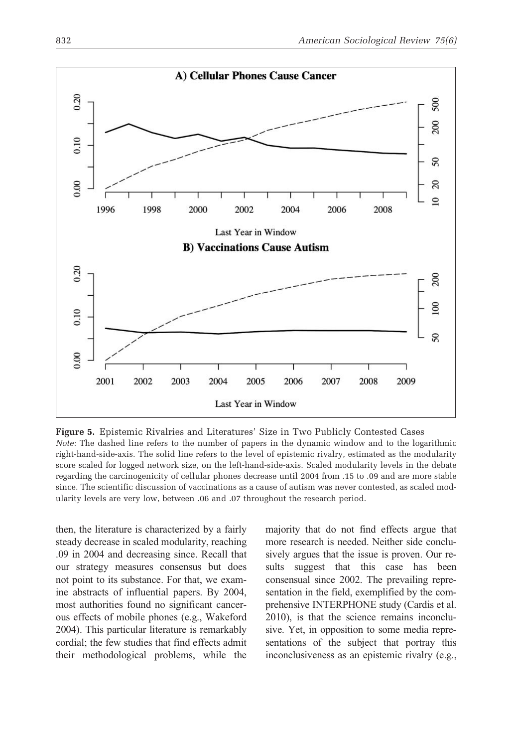

Figure 5. Epistemic Rivalries and Literatures' Size in Two Publicly Contested Cases Note: The dashed line refers to the number of papers in the dynamic window and to the logarithmic right-hand-side-axis. The solid line refers to the level of epistemic rivalry, estimated as the modularity score scaled for logged network size, on the left-hand-side-axis. Scaled modularity levels in the debate regarding the carcinogenicity of cellular phones decrease until 2004 from .15 to .09 and are more stable since. The scientific discussion of vaccinations as a cause of autism was never contested, as scaled modularity levels are very low, between .06 and .07 throughout the research period.

then, the literature is characterized by a fairly steady decrease in scaled modularity, reaching .09 in 2004 and decreasing since. Recall that our strategy measures consensus but does not point to its substance. For that, we examine abstracts of influential papers. By 2004, most authorities found no significant cancerous effects of mobile phones (e.g., Wakeford 2004). This particular literature is remarkably cordial; the few studies that find effects admit their methodological problems, while the

majority that do not find effects argue that more research is needed. Neither side conclusively argues that the issue is proven. Our results suggest that this case has been consensual since 2002. The prevailing representation in the field, exemplified by the comprehensive INTERPHONE study (Cardis et al. 2010), is that the science remains inconclusive. Yet, in opposition to some media representations of the subject that portray this inconclusiveness as an epistemic rivalry (e.g.,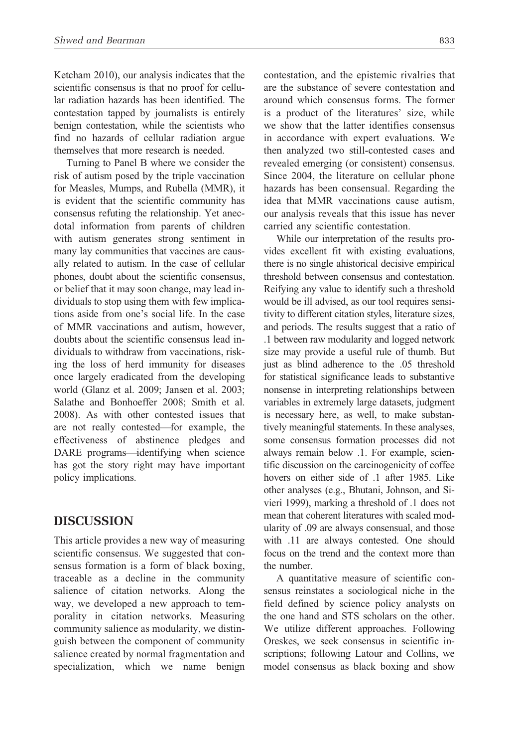Ketcham 2010), our analysis indicates that the scientific consensus is that no proof for cellular radiation hazards has been identified. The contestation tapped by journalists is entirely benign contestation, while the scientists who find no hazards of cellular radiation argue themselves that more research is needed.

Turning to Panel B where we consider the risk of autism posed by the triple vaccination for Measles, Mumps, and Rubella (MMR), it is evident that the scientific community has consensus refuting the relationship. Yet anecdotal information from parents of children with autism generates strong sentiment in many lay communities that vaccines are causally related to autism. In the case of cellular phones, doubt about the scientific consensus, or belief that it may soon change, may lead individuals to stop using them with few implications aside from one's social life. In the case of MMR vaccinations and autism, however, doubts about the scientific consensus lead individuals to withdraw from vaccinations, risking the loss of herd immunity for diseases once largely eradicated from the developing world (Glanz et al. 2009; Jansen et al. 2003; Salathe and Bonhoeffer 2008; Smith et al. 2008). As with other contested issues that are not really contested—for example, the effectiveness of abstinence pledges and DARE programs—identifying when science has got the story right may have important policy implications.

## DISCUSSION

This article provides a new way of measuring scientific consensus. We suggested that consensus formation is a form of black boxing, traceable as a decline in the community salience of citation networks. Along the way, we developed a new approach to temporality in citation networks. Measuring community salience as modularity, we distinguish between the component of community salience created by normal fragmentation and specialization, which we name benign contestation, and the epistemic rivalries that are the substance of severe contestation and around which consensus forms. The former is a product of the literatures' size, while we show that the latter identifies consensus in accordance with expert evaluations. We then analyzed two still-contested cases and revealed emerging (or consistent) consensus. Since 2004, the literature on cellular phone hazards has been consensual. Regarding the idea that MMR vaccinations cause autism, our analysis reveals that this issue has never carried any scientific contestation.

While our interpretation of the results provides excellent fit with existing evaluations, there is no single ahistorical decisive empirical threshold between consensus and contestation. Reifying any value to identify such a threshold would be ill advised, as our tool requires sensitivity to different citation styles, literature sizes, and periods. The results suggest that a ratio of .1 between raw modularity and logged network size may provide a useful rule of thumb. But just as blind adherence to the .05 threshold for statistical significance leads to substantive nonsense in interpreting relationships between variables in extremely large datasets, judgment is necessary here, as well, to make substantively meaningful statements. In these analyses, some consensus formation processes did not always remain below .1. For example, scientific discussion on the carcinogenicity of coffee hovers on either side of .1 after 1985. Like other analyses (e.g., Bhutani, Johnson, and Sivieri 1999), marking a threshold of .1 does not mean that coherent literatures with scaled modularity of .09 are always consensual, and those with .11 are always contested. One should focus on the trend and the context more than the number.

A quantitative measure of scientific consensus reinstates a sociological niche in the field defined by science policy analysts on the one hand and STS scholars on the other. We utilize different approaches. Following Oreskes, we seek consensus in scientific inscriptions; following Latour and Collins, we model consensus as black boxing and show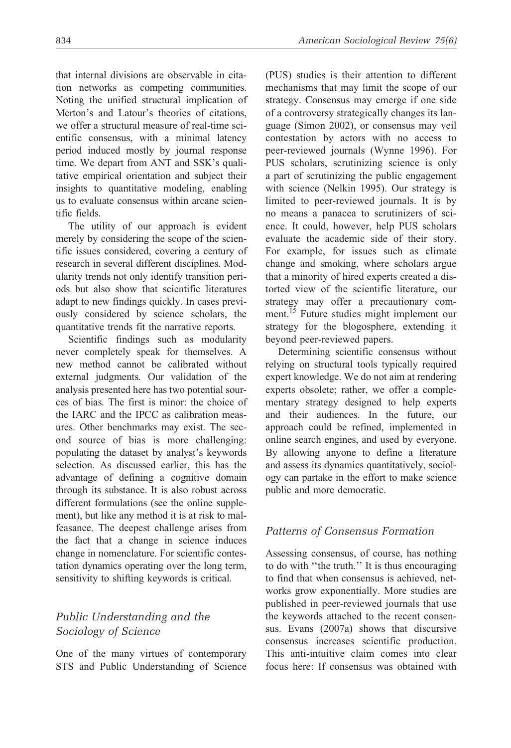that internal divisions are observable in citation networks as competing communities. Noting the unified structural implication of Merton's and Latour's theories of citations, we offer a structural measure of real-time scientific consensus, with a minimal latency period induced mostly by journal response time. We depart from ANT and SSK's qualitative empirical orientation and subject their insights to quantitative modeling, enabling us to evaluate consensus within arcane scientific fields.

The utility of our approach is evident merely by considering the scope of the scientific issues considered, covering a century of research in several different disciplines. Modularity trends not only identify transition periods but also show that scientific literatures adapt to new findings quickly. In cases previously considered by science scholars, the quantitative trends fit the narrative reports.

Scientific findings such as modularity never completely speak for themselves. A new method cannot be calibrated without external judgments. Our validation of the analysis presented here has two potential sources of bias. The first is minor: the choice of the IARC and the IPCC as calibration measures. Other benchmarks may exist. The second source of bias is more challenging: populating the dataset by analyst's keywords selection. As discussed earlier, this has the advantage of defining a cognitive domain through its substance. It is also robust across different formulations (see the online supplement), but like any method it is at risk to malfeasance. The deepest challenge arises from the fact that a change in science induces change in nomenclature. For scientific contestation dynamics operating over the long term, sensitivity to shifting keywords is critical.

## Public Understanding and the Sociology of Science

One of the many virtues of contemporary STS and Public Understanding of Science

(PUS) studies is their attention to different mechanisms that may limit the scope of our strategy. Consensus may emerge if one side of a controversy strategically changes its language (Simon 2002), or consensus may veil contestation by actors with no access to peer-reviewed journals (Wynne 1996). For PUS scholars, scrutinizing science is only a part of scrutinizing the public engagement with science (Nelkin 1995). Our strategy is limited to peer-reviewed journals. It is by no means a panacea to scrutinizers of science. It could, however, help PUS scholars evaluate the academic side of their story. For example, for issues such as climate change and smoking, where scholars argue that a minority of hired experts created a distorted view of the scientific literature, our strategy may offer a precautionary comment.<sup>15</sup> Future studies might implement our strategy for the blogosphere, extending it beyond peer-reviewed papers.

Determining scientific consensus without relying on structural tools typically required expert knowledge. We do not aim at rendering experts obsolete; rather, we offer a complementary strategy designed to help experts and their audiences. In the future, our approach could be refined, implemented in online search engines, and used by everyone. By allowing anyone to define a literature and assess its dynamics quantitatively, sociology can partake in the effort to make science public and more democratic.

#### Patterns of Consensus Formation

Assessing consensus, of course, has nothing to do with ''the truth.'' It is thus encouraging to find that when consensus is achieved, networks grow exponentially. More studies are published in peer-reviewed journals that use the keywords attached to the recent consensus. Evans (2007a) shows that discursive consensus increases scientific production. This anti-intuitive claim comes into clear focus here: If consensus was obtained with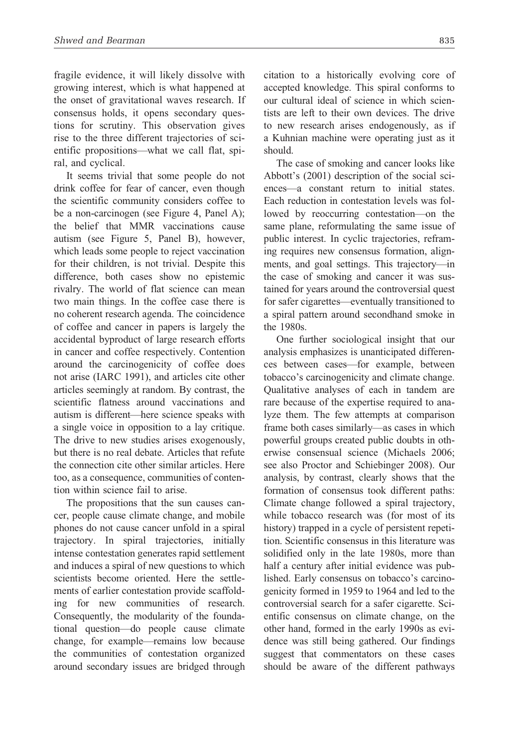fragile evidence, it will likely dissolve with growing interest, which is what happened at the onset of gravitational waves research. If consensus holds, it opens secondary questions for scrutiny. This observation gives rise to the three different trajectories of scientific propositions—what we call flat, spiral, and cyclical.

It seems trivial that some people do not drink coffee for fear of cancer, even though the scientific community considers coffee to be a non-carcinogen (see Figure 4, Panel A); the belief that MMR vaccinations cause autism (see Figure 5, Panel B), however, which leads some people to reject vaccination for their children, is not trivial. Despite this difference, both cases show no epistemic rivalry. The world of flat science can mean two main things. In the coffee case there is no coherent research agenda. The coincidence of coffee and cancer in papers is largely the accidental byproduct of large research efforts in cancer and coffee respectively. Contention around the carcinogenicity of coffee does not arise (IARC 1991), and articles cite other articles seemingly at random. By contrast, the scientific flatness around vaccinations and autism is different—here science speaks with a single voice in opposition to a lay critique. The drive to new studies arises exogenously, but there is no real debate. Articles that refute the connection cite other similar articles. Here too, as a consequence, communities of contention within science fail to arise.

The propositions that the sun causes cancer, people cause climate change, and mobile phones do not cause cancer unfold in a spiral trajectory. In spiral trajectories, initially intense contestation generates rapid settlement and induces a spiral of new questions to which scientists become oriented. Here the settlements of earlier contestation provide scaffolding for new communities of research. Consequently, the modularity of the foundational question—do people cause climate change, for example—remains low because the communities of contestation organized around secondary issues are bridged through citation to a historically evolving core of accepted knowledge. This spiral conforms to our cultural ideal of science in which scientists are left to their own devices. The drive to new research arises endogenously, as if a Kuhnian machine were operating just as it should.

The case of smoking and cancer looks like Abbott's (2001) description of the social sciences—a constant return to initial states. Each reduction in contestation levels was followed by reoccurring contestation—on the same plane, reformulating the same issue of public interest. In cyclic trajectories, reframing requires new consensus formation, alignments, and goal settings. This trajectory—in the case of smoking and cancer it was sustained for years around the controversial quest for safer cigarettes—eventually transitioned to a spiral pattern around secondhand smoke in the 1980s.

One further sociological insight that our analysis emphasizes is unanticipated differences between cases—for example, between tobacco's carcinogenicity and climate change. Qualitative analyses of each in tandem are rare because of the expertise required to analyze them. The few attempts at comparison frame both cases similarly—as cases in which powerful groups created public doubts in otherwise consensual science (Michaels 2006; see also Proctor and Schiebinger 2008). Our analysis, by contrast, clearly shows that the formation of consensus took different paths: Climate change followed a spiral trajectory, while tobacco research was (for most of its history) trapped in a cycle of persistent repetition. Scientific consensus in this literature was solidified only in the late 1980s, more than half a century after initial evidence was published. Early consensus on tobacco's carcinogenicity formed in 1959 to 1964 and led to the controversial search for a safer cigarette. Scientific consensus on climate change, on the other hand, formed in the early 1990s as evidence was still being gathered. Our findings suggest that commentators on these cases should be aware of the different pathways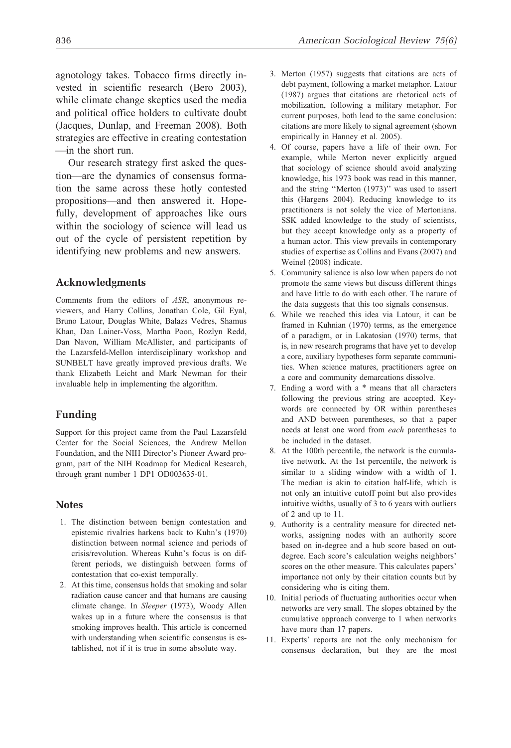agnotology takes. Tobacco firms directly invested in scientific research (Bero 2003), while climate change skeptics used the media and political office holders to cultivate doubt (Jacques, Dunlap, and Freeman 2008). Both strategies are effective in creating contestation —in the short run.

Our research strategy first asked the question—are the dynamics of consensus formation the same across these hotly contested propositions—and then answered it. Hopefully, development of approaches like ours within the sociology of science will lead us out of the cycle of persistent repetition by identifying new problems and new answers.

#### Acknowledgments

Comments from the editors of ASR, anonymous reviewers, and Harry Collins, Jonathan Cole, Gil Eyal, Bruno Latour, Douglas White, Balazs Vedres, Shamus Khan, Dan Lainer-Voss, Martha Poon, Rozlyn Redd, Dan Navon, William McAllister, and participants of the Lazarsfeld-Mellon interdisciplinary workshop and SUNBELT have greatly improved previous drafts. We thank Elizabeth Leicht and Mark Newman for their invaluable help in implementing the algorithm.

#### Funding

Support for this project came from the Paul Lazarsfeld Center for the Social Sciences, the Andrew Mellon Foundation, and the NIH Director's Pioneer Award program, part of the NIH Roadmap for Medical Research, through grant number 1 DP1 OD003635-01.

#### **Notes**

- 1. The distinction between benign contestation and epistemic rivalries harkens back to Kuhn's (1970) distinction between normal science and periods of crisis/revolution. Whereas Kuhn's focus is on different periods, we distinguish between forms of contestation that co-exist temporally.
- 2. At this time, consensus holds that smoking and solar radiation cause cancer and that humans are causing climate change. In Sleeper (1973), Woody Allen wakes up in a future where the consensus is that smoking improves health. This article is concerned with understanding when scientific consensus is established, not if it is true in some absolute way.
- 3. Merton (1957) suggests that citations are acts of debt payment, following a market metaphor. Latour (1987) argues that citations are rhetorical acts of mobilization, following a military metaphor. For current purposes, both lead to the same conclusion: citations are more likely to signal agreement (shown empirically in Hanney et al. 2005).
- 4. Of course, papers have a life of their own. For example, while Merton never explicitly argued that sociology of science should avoid analyzing knowledge, his 1973 book was read in this manner, and the string ''Merton (1973)'' was used to assert this (Hargens 2004). Reducing knowledge to its practitioners is not solely the vice of Mertonians. SSK added knowledge to the study of scientists, but they accept knowledge only as a property of a human actor. This view prevails in contemporary studies of expertise as Collins and Evans (2007) and Weinel (2008) indicate.
- 5. Community salience is also low when papers do not promote the same views but discuss different things and have little to do with each other. The nature of the data suggests that this too signals consensus.
- 6. While we reached this idea via Latour, it can be framed in Kuhnian (1970) terms, as the emergence of a paradigm, or in Lakatosian (1970) terms, that is, in new research programs that have yet to develop a core, auxiliary hypotheses form separate communities. When science matures, practitioners agree on a core and community demarcations dissolve.
- 7. Ending a word with a \* means that all characters following the previous string are accepted. Keywords are connected by OR within parentheses and AND between parentheses, so that a paper needs at least one word from each parentheses to be included in the dataset.
- 8. At the 100th percentile, the network is the cumulative network. At the 1st percentile, the network is similar to a sliding window with a width of 1. The median is akin to citation half-life, which is not only an intuitive cutoff point but also provides intuitive widths, usually of 3 to 6 years with outliers of 2 and up to 11.
- 9. Authority is a centrality measure for directed networks, assigning nodes with an authority score based on in-degree and a hub score based on outdegree. Each score's calculation weighs neighbors' scores on the other measure. This calculates papers' importance not only by their citation counts but by considering who is citing them.
- 10. Initial periods of fluctuating authorities occur when networks are very small. The slopes obtained by the cumulative approach converge to 1 when networks have more than 17 papers.
- 11. Experts' reports are not the only mechanism for consensus declaration, but they are the most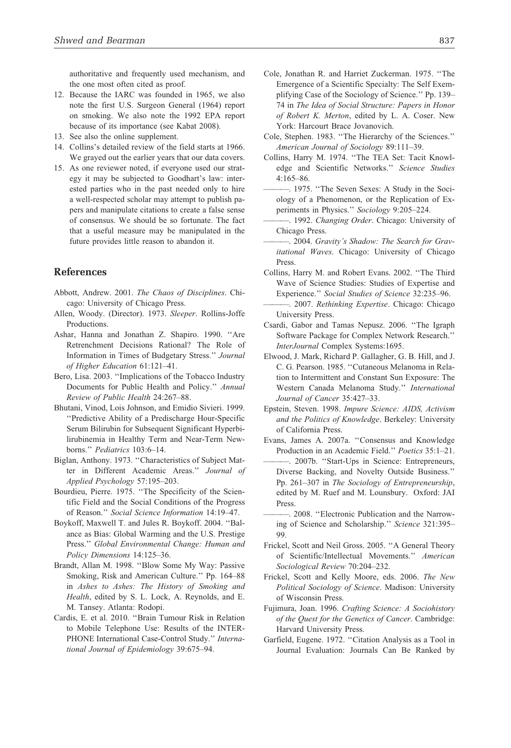authoritative and frequently used mechanism, and the one most often cited as proof.

- 12. Because the IARC was founded in 1965, we also note the first U.S. Surgeon General (1964) report on smoking. We also note the 1992 EPA report because of its importance (see Kabat 2008).
- 13. See also the online supplement.
- 14. Collins's detailed review of the field starts at 1966. We grayed out the earlier years that our data covers.
- 15. As one reviewer noted, if everyone used our strategy it may be subjected to Goodhart's law: interested parties who in the past needed only to hire a well-respected scholar may attempt to publish papers and manipulate citations to create a false sense of consensus. We should be so fortunate. The fact that a useful measure may be manipulated in the future provides little reason to abandon it.

#### References

- Abbott, Andrew. 2001. The Chaos of Disciplines. Chicago: University of Chicago Press.
- Allen, Woody. (Director). 1973. Sleeper. Rollins-Joffe **Productions**
- Ashar, Hanna and Jonathan Z. Shapiro. 1990. ''Are Retrenchment Decisions Rational? The Role of Information in Times of Budgetary Stress.'' Journal of Higher Education 61:121–41.
- Bero, Lisa. 2003. ''Implications of the Tobacco Industry Documents for Public Health and Policy.'' Annual Review of Public Health 24:267–88.
- Bhutani, Vinod, Lois Johnson, and Emidio Sivieri. 1999. ''Predictive Ability of a Predischarge Hour-Specific Serum Bilirubin for Subsequent Significant Hyperbilirubinemia in Healthy Term and Near-Term Newborns.'' Pediatrics 103:6–14.
- Biglan, Anthony. 1973. ''Characteristics of Subject Matter in Different Academic Areas.'' Journal of Applied Psychology 57:195–203.
- Bourdieu, Pierre. 1975. ''The Specificity of the Scientific Field and the Social Conditions of the Progress of Reason.'' Social Science Information 14:19–47.
- Boykoff, Maxwell T. and Jules R. Boykoff. 2004. ''Balance as Bias: Global Warming and the U.S. Prestige Press.'' Global Environmental Change: Human and Policy Dimensions 14:125–36.
- Brandt, Allan M. 1998. ''Blow Some My Way: Passive Smoking, Risk and American Culture.'' Pp. 164–88 in Ashes to Ashes: The History of Smoking and Health, edited by S. L. Lock, A. Reynolds, and E. M. Tansey. Atlanta: Rodopi.
- Cardis, E. et al. 2010. ''Brain Tumour Risk in Relation to Mobile Telephone Use: Results of the INTER-PHONE International Case-Control Study.'' International Journal of Epidemiology 39:675–94.
- Cole, Jonathan R. and Harriet Zuckerman. 1975. ''The Emergence of a Scientific Specialty: The Self Exemplifying Case of the Sociology of Science.'' Pp. 139– 74 in The Idea of Social Structure: Papers in Honor of Robert K. Merton, edited by L. A. Coser. New York: Harcourt Brace Jovanovich.
- Cole, Stephen. 1983. ''The Hierarchy of the Sciences.'' American Journal of Sociology 89:111–39.
- Collins, Harry M. 1974. ''The TEA Set: Tacit Knowledge and Scientific Networks.'' Science Studies 4:165–86.
- ———. 1975. ''The Seven Sexes: A Study in the Sociology of a Phenomenon, or the Replication of Experiments in Physics.'' Sociology 9:205–224.
- -. 1992. Changing Order. Chicago: University of Chicago Press.
- -. 2004. Gravity's Shadow: The Search for Gravitational Waves. Chicago: University of Chicago Press.
- Collins, Harry M. and Robert Evans. 2002. ''The Third Wave of Science Studies: Studies of Expertise and Experience.'' Social Studies of Science 32:235–96.
- -. 2007. Rethinking Expertise. Chicago: Chicago University Press.
- Csardi, Gabor and Tamas Nepusz. 2006. ''The Igraph Software Package for Complex Network Research.'' InterJournal Complex Systems:1695.
- Elwood, J. Mark, Richard P. Gallagher, G. B. Hill, and J. C. G. Pearson. 1985. ''Cutaneous Melanoma in Relation to Intermittent and Constant Sun Exposure: The Western Canada Melanoma Study.'' International Journal of Cancer 35:427–33.
- Epstein, Steven. 1998. Impure Science: AIDS, Activism and the Politics of Knowledge. Berkeley: University of California Press.
- Evans, James A. 2007a. ''Consensus and Knowledge Production in an Academic Field.'' Poetics 35:1–21.
- ———. 2007b. ''Start-Ups in Science: Entrepreneurs, Diverse Backing, and Novelty Outside Business.'' Pp. 261–307 in The Sociology of Entrepreneurship, edited by M. Ruef and M. Lounsbury. Oxford: JAI Press.
- ———. 2008. ''Electronic Publication and the Narrowing of Science and Scholarship.'' Science 321:395– 99.
- Frickel, Scott and Neil Gross. 2005. ''A General Theory of Scientific/Intellectual Movements.'' American Sociological Review 70:204–232.
- Frickel, Scott and Kelly Moore, eds. 2006. The New Political Sociology of Science. Madison: University of Wisconsin Press.
- Fujimura, Joan. 1996. Crafting Science: A Sociohistory of the Quest for the Genetics of Cancer. Cambridge: Harvard University Press.
- Garfield, Eugene. 1972. "Citation Analysis as a Tool in Journal Evaluation: Journals Can Be Ranked by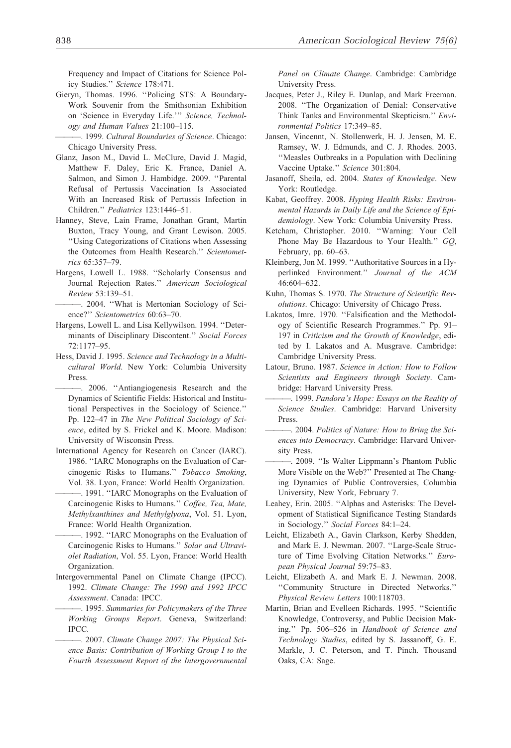Frequency and Impact of Citations for Science Policy Studies.'' Science 178:471.

- Gieryn, Thomas. 1996. ''Policing STS: A Boundary-Work Souvenir from the Smithsonian Exhibition on 'Science in Everyday Life.''' Science, Technology and Human Values 21:100–115.
	- -. 1999. Cultural Boundaries of Science. Chicago: Chicago University Press.
- Glanz, Jason M., David L. McClure, David J. Magid, Matthew F. Daley, Eric K. France, Daniel A. Salmon, and Simon J. Hambidge. 2009. ''Parental Refusal of Pertussis Vaccination Is Associated With an Increased Risk of Pertussis Infection in Children.'' Pediatrics 123:1446–51.
- Hanney, Steve, Lain Frame, Jonathan Grant, Martin Buxton, Tracy Young, and Grant Lewison. 2005. ''Using Categorizations of Citations when Assessing the Outcomes from Health Research." Scientometrics 65:357–79.
- Hargens, Lowell L. 1988. ''Scholarly Consensus and Journal Rejection Rates.'' American Sociological Review 53:139–51.
- ———. 2004. ''What is Mertonian Sociology of Science?'' Scientometrics 60:63–70.
- Hargens, Lowell L. and Lisa Kellywilson. 1994. ''Determinants of Disciplinary Discontent.'' Social Forces 72:1177–95.
- Hess, David J. 1995. Science and Technology in a Multicultural World. New York: Columbia University Press.
	- ———. 2006. ''Antiangiogenesis Research and the Dynamics of Scientific Fields: Historical and Institutional Perspectives in the Sociology of Science.'' Pp. 122–47 in The New Political Sociology of Science, edited by S. Frickel and K. Moore. Madison: University of Wisconsin Press.
- International Agency for Research on Cancer (IARC). 1986. ''IARC Monographs on the Evaluation of Carcinogenic Risks to Humans.'' Tobacco Smoking, Vol. 38. Lyon, France: World Health Organization.
	- -. 1991. "IARC Monographs on the Evaluation of Carcinogenic Risks to Humans.'' Coffee, Tea, Mate, Methylxanthines and Methylglyoxa, Vol. 51. Lyon, France: World Health Organization.
- -. 1992. "IARC Monographs on the Evaluation of Carcinogenic Risks to Humans.'' Solar and Ultraviolet Radiation, Vol. 55. Lyon, France: World Health Organization.
- Intergovernmental Panel on Climate Change (IPCC). 1992. Climate Change: The 1990 and 1992 IPCC Assessment. Canada: IPCC.
	- -, 1995. Summaries for Policymakers of the Three Working Groups Report. Geneva, Switzerland: IPCC.
	- -. 2007. Climate Change 2007: The Physical Science Basis: Contribution of Working Group I to the Fourth Assessment Report of the Intergovernmental

Panel on Climate Change. Cambridge: Cambridge University Press.

- Jacques, Peter J., Riley E. Dunlap, and Mark Freeman. 2008. ''The Organization of Denial: Conservative Think Tanks and Environmental Skepticism.'' Environmental Politics 17:349–85.
- Jansen, Vincennt, N. Stollenwerk, H. J. Jensen, M. E. Ramsey, W. J. Edmunds, and C. J. Rhodes. 2003. ''Measles Outbreaks in a Population with Declining Vaccine Uptake.'' Science 301:804.
- Jasanoff, Sheila, ed. 2004. States of Knowledge. New York: Routledge.
- Kabat, Geoffrey. 2008. Hyping Health Risks: Environmental Hazards in Daily Life and the Science of Epidemiology. New York: Columbia University Press.
- Ketcham, Christopher. 2010. ''Warning: Your Cell Phone May Be Hazardous to Your Health.'' GQ, February, pp. 60–63.
- Kleinberg, Jon M. 1999. ''Authoritative Sources in a Hyperlinked Environment.'' Journal of the ACM 46:604–632.
- Kuhn, Thomas S. 1970. The Structure of Scientific Revolutions. Chicago: University of Chicago Press.
- Lakatos, Imre. 1970. "Falsification and the Methodology of Scientific Research Programmes.'' Pp. 91– 197 in Criticism and the Growth of Knowledge, edited by I. Lakatos and A. Musgrave. Cambridge: Cambridge University Press.
- Latour, Bruno. 1987. Science in Action: How to Follow Scientists and Engineers through Society. Cambridge: Harvard University Press.
- -. 1999. Pandora's Hope: Essays on the Reality of Science Studies. Cambridge: Harvard University Press.
- ———. 2004. Politics of Nature: How to Bring the Sciences into Democracy. Cambridge: Harvard University Press.
- ———. 2009. ''Is Walter Lippmann's Phantom Public More Visible on the Web?'' Presented at The Changing Dynamics of Public Controversies, Columbia University, New York, February 7.
- Leahey, Erin. 2005. ''Alphas and Asterisks: The Development of Statistical Significance Testing Standards in Sociology.'' Social Forces 84:1–24.
- Leicht, Elizabeth A., Gavin Clarkson, Kerby Shedden, and Mark E. J. Newman. 2007. ''Large-Scale Structure of Time Evolving Citation Networks.'' European Physical Journal 59:75–83.
- Leicht, Elizabeth A. and Mark E. J. Newman. 2008. ''Community Structure in Directed Networks.'' Physical Review Letters 100:118703.
- Martin, Brian and Evelleen Richards. 1995. ''Scientific Knowledge, Controversy, and Public Decision Making.'' Pp. 506–526 in Handbook of Science and Technology Studies, edited by S. Jassanoff, G. E. Markle, J. C. Peterson, and T. Pinch. Thousand Oaks, CA: Sage.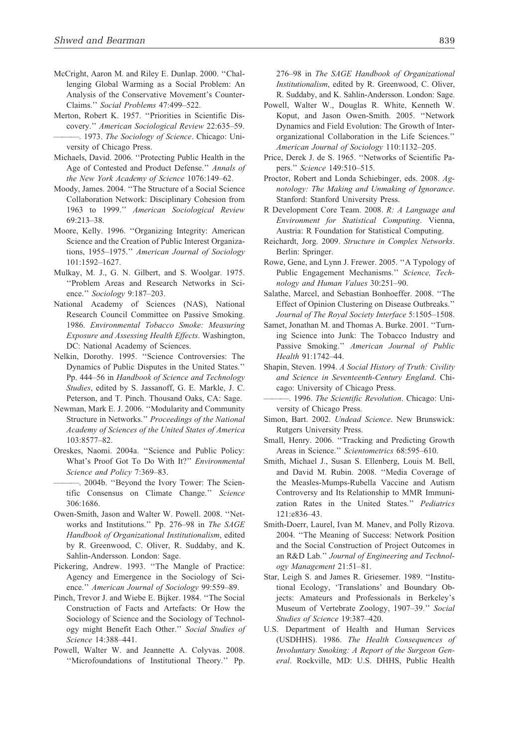- McCright, Aaron M. and Riley E. Dunlap. 2000. ''Challenging Global Warming as a Social Problem: An Analysis of the Conservative Movement's Counter-Claims.'' Social Problems 47:499–522.
- Merton, Robert K. 1957. ''Priorities in Scientific Discovery.'' American Sociological Review 22:635–59. -. 1973. The Sociology of Science. Chicago: University of Chicago Press.
- Michaels, David. 2006. ''Protecting Public Health in the Age of Contested and Product Defense.'' Annals of the New York Academy of Science 1076:149–62.
- Moody, James. 2004. ''The Structure of a Social Science Collaboration Network: Disciplinary Cohesion from 1963 to 1999.'' American Sociological Review 69:213–38.
- Moore, Kelly. 1996. ''Organizing Integrity: American Science and the Creation of Public Interest Organizations, 1955–1975.'' American Journal of Sociology 101:1592–1627.
- Mulkay, M. J., G. N. Gilbert, and S. Woolgar. 1975. ''Problem Areas and Research Networks in Science.'' Sociology 9:187–203.
- National Academy of Sciences (NAS), National Research Council Committee on Passive Smoking. 1986. Environmental Tobacco Smoke: Measuring Exposure and Assessing Health Effects. Washington, DC: National Academy of Sciences.
- Nelkin, Dorothy. 1995. ''Science Controversies: The Dynamics of Public Disputes in the United States.'' Pp. 444–56 in Handbook of Science and Technology Studies, edited by S. Jassanoff, G. E. Markle, J. C. Peterson, and T. Pinch. Thousand Oaks, CA: Sage.
- Newman, Mark E. J. 2006. ''Modularity and Community Structure in Networks.'' Proceedings of the National Academy of Sciences of the United States of America 103:8577–82.
- Oreskes, Naomi. 2004a. ''Science and Public Policy: What's Proof Got To Do With It?'' Environmental Science and Policy 7:369–83.
- ———. 2004b. ''Beyond the Ivory Tower: The Scientific Consensus on Climate Change.'' Science 306:1686.
- Owen-Smith, Jason and Walter W. Powell. 2008. ''Networks and Institutions.'' Pp. 276–98 in The SAGE Handbook of Organizational Institutionalism, edited by R. Greenwood, C. Oliver, R. Suddaby, and K. Sahlin-Andersson. London: Sage.
- Pickering, Andrew. 1993. ''The Mangle of Practice: Agency and Emergence in the Sociology of Science.'' American Journal of Sociology 99:559–89.
- Pinch, Trevor J. and Wiebe E. Bijker. 1984. ''The Social Construction of Facts and Artefacts: Or How the Sociology of Science and the Sociology of Technology might Benefit Each Other.'' Social Studies of Science 14:388–441.
- Powell, Walter W. and Jeannette A. Colyvas. 2008. ''Microfoundations of Institutional Theory.'' Pp.

276–98 in The SAGE Handbook of Organizational Institutionalism, edited by R. Greenwood, C. Oliver, R. Suddaby, and K. Sahlin-Andersson. London: Sage.

- Powell, Walter W., Douglas R. White, Kenneth W. Koput, and Jason Owen-Smith. 2005. ''Network Dynamics and Field Evolution: The Growth of Interorganizational Collaboration in the Life Sciences.'' American Journal of Sociology 110:1132–205.
- Price, Derek J. de S. 1965. ''Networks of Scientific Papers.'' Science 149:510–515.
- Proctor, Robert and Londa Schiebinger, eds. 2008. Agnotology: The Making and Unmaking of Ignorance. Stanford: Stanford University Press.
- R Development Core Team. 2008. R: A Language and Environment for Statistical Computing. Vienna, Austria: R Foundation for Statistical Computing.
- Reichardt, Jorg. 2009. Structure in Complex Networks. Berlin: Springer.
- Rowe, Gene, and Lynn J. Frewer. 2005. ''A Typology of Public Engagement Mechanisms.'' Science, Technology and Human Values 30:251–90.
- Salathe, Marcel, and Sebastian Bonhoeffer. 2008. ''The Effect of Opinion Clustering on Disease Outbreaks.'' Journal of The Royal Society Interface 5:1505–1508.
- Samet, Jonathan M. and Thomas A. Burke. 2001. ''Turning Science into Junk: The Tobacco Industry and Passive Smoking.'' American Journal of Public Health 91:1742–44.
- Shapin, Steven. 1994. A Social History of Truth: Civility and Science in Seventeenth-Century England. Chicago: University of Chicago Press.
- -. 1996. The Scientific Revolution. Chicago: University of Chicago Press.
- Simon, Bart. 2002. Undead Science. New Brunswick: Rutgers University Press.
- Small, Henry. 2006. ''Tracking and Predicting Growth Areas in Science.'' Scientometrics 68:595–610.
- Smith, Michael J., Susan S. Ellenberg, Louis M. Bell, and David M. Rubin. 2008. ''Media Coverage of the Measles-Mumps-Rubella Vaccine and Autism Controversy and Its Relationship to MMR Immunization Rates in the United States.'' Pediatrics 121:e836–43.
- Smith-Doerr, Laurel, Ivan M. Manev, and Polly Rizova. 2004. ''The Meaning of Success: Network Position and the Social Construction of Project Outcomes in an R&D Lab.'' Journal of Engineering and Technology Management 21:51–81.
- Star, Leigh S. and James R. Griesemer. 1989. ''Institutional Ecology, 'Translations' and Boundary Objects: Amateurs and Professionals in Berkeley's Museum of Vertebrate Zoology, 1907–39.'' Social Studies of Science 19:387–420.
- U.S. Department of Health and Human Services (USDHHS). 1986. The Health Consequences of Involuntary Smoking: A Report of the Surgeon General. Rockville, MD: U.S. DHHS, Public Health